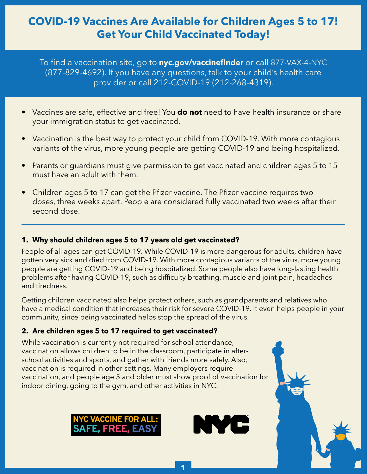# **COVID-19 Vaccines Are Available for Children Ages 5 to 17! Get Your Child Vaccinated Today!**

To find a vaccination site, go to **[nyc.gov/vaccinefinder](https://vaccinefinder.nyc.gov/locations)** or call 877-VAX-4-NYC (877-829-4692). If you have any questions, talk to your child's health care provider or call 212-COVID-19 (212-268-4319).

- Vaccines are safe, effective and free! You **do not** need to have health insurance or share your immigration status to get vaccinated.
- Vaccination is the best way to protect your child from COVID-19. With more contagious variants of the virus, more young people are getting COVID-19 and being hospitalized.
- Parents or guardians must give permission to get vaccinated and children ages 5 to 15 must have an adult with them.
- Children ages 5 to 17 can get the Pfizer vaccine. The Pfizer vaccine requires two doses, three weeks apart. People are considered fully vaccinated two weeks after their second dose.

## **1. Why should children ages 5 to 17 years old get vaccinated?**

People of all ages can get COVID-19. While COVID-19 is more dangerous for adults, children have gotten very sick and died from COVID-19. With more contagious variants of the virus, more young people are getting COVID-19 and being hospitalized. Some people also have long-lasting health problems after having COVID-19, such as difficulty breathing, muscle and joint pain, headaches and tiredness.

Getting children vaccinated also helps protect others, such as grandparents and relatives who have a medical condition that increases their risk for severe COVID-19. It even helps people in your community, since being vaccinated helps stop the spread of the virus.

## **2. Are children ages 5 to 17 required to get vaccinated?**

While vaccination is currently not required for school attendance, vaccination allows children to be in the classroom, participate in afterschool activities and sports, and gather with friends more safely. Also, vaccination is required in other settings. Many employers require vaccination, and people age 5 and older must show proof of vaccination for indoor dining, going to the gym, and other activities in NYC.